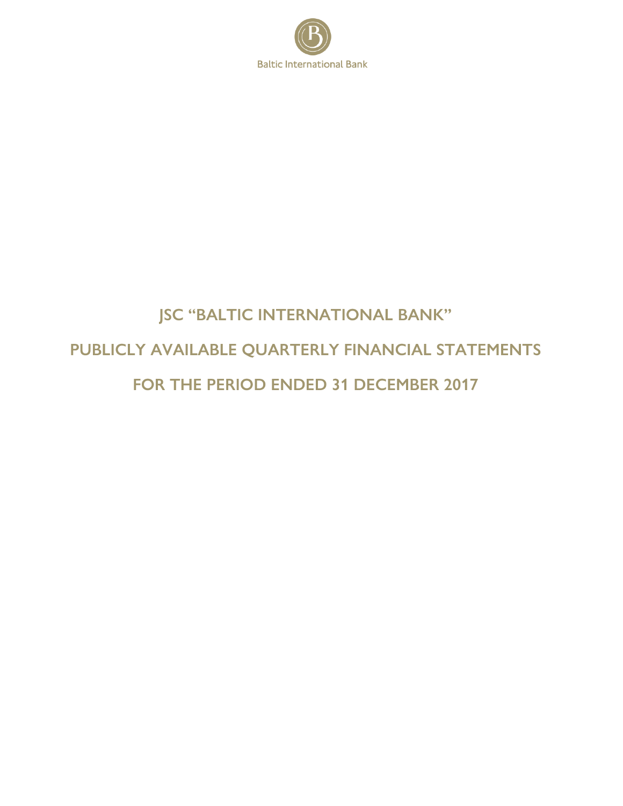

# **JSC "BALTIC INTERNATIONAL BANK"** PUBLICLY AVAILABLE QUARTERLY FINANCIAL STATEMENTS FOR THE PERIOD ENDED 31 DECEMBER 2017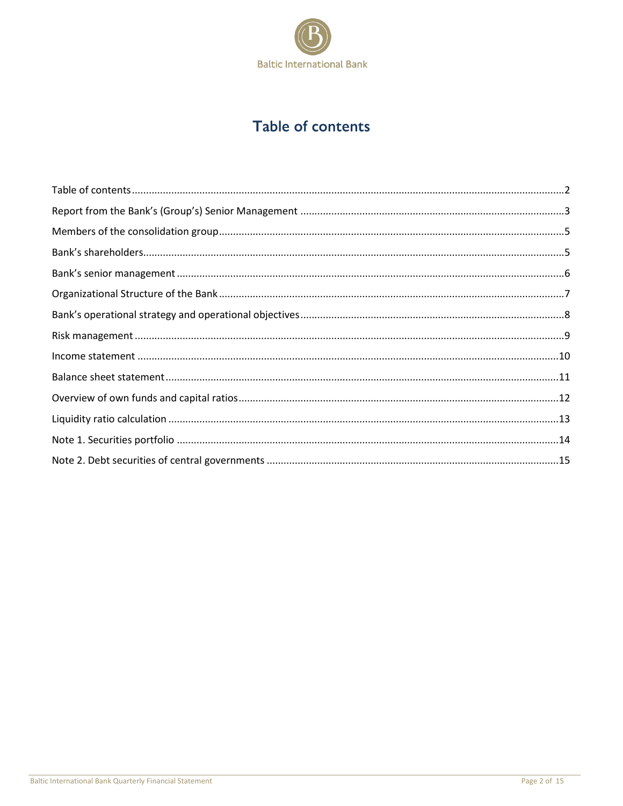

# Table of contents

<span id="page-1-0"></span>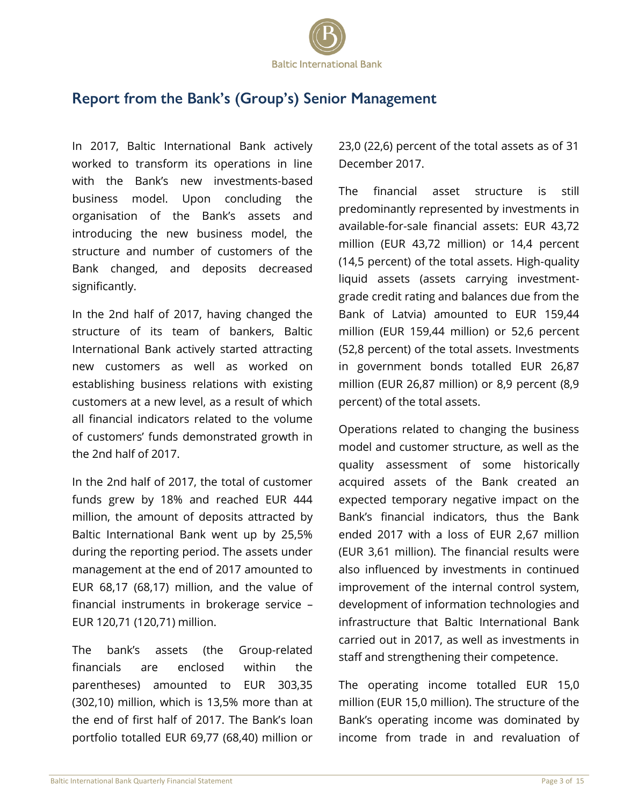

### <span id="page-2-0"></span>Report from the Bank's (Group's) Senior Management

In 2017, Baltic International Bank actively worked to transform its operations in line with the Bank's new investments-based business model. Upon concluding the organisation of the Bank's assets and introducing the new business model, the structure and number of customers of the Bank changed, and deposits decreased significantly.

In the 2nd half of 2017, having changed the structure of its team of bankers, Baltic International Bank actively started attracting new customers as well as worked on establishing business relations with existing customers at a new level, as a result of which all financial indicators related to the volume of customers' funds demonstrated growth in the 2nd half of 2017.

In the 2nd half of 2017, the total of customer funds grew by 18% and reached EUR 444 million, the amount of deposits attracted by Baltic International Bank went up by 25,5% during the reporting period. The assets under management at the end of 2017 amounted to EUR 68,17 (68,17) million, and the value of financial instruments in brokerage service – EUR 120,71 (120,71) million.

The bank's assets (the Group-related financials are enclosed within the parentheses) amounted to EUR 303,35 (302,10) million, which is 13,5% more than at the end of first half of 2017. The Bank's loan portfolio totalled EUR 69,77 (68,40) million or 23,0 (22,6) percent of the total assets as of 31 December 2017.

The financial asset structure is still predominantly represented by investments in available-for-sale financial assets: EUR 43,72 million (EUR 43,72 million) or 14,4 percent (14,5 percent) of the total assets. High-quality liquid assets (assets carrying investmentgrade credit rating and balances due from the Bank of Latvia) amounted to EUR 159,44 million (EUR 159,44 million) or 52,6 percent (52,8 percent) of the total assets. Investments in government bonds totalled EUR 26,87 million (EUR 26,87 million) or 8,9 percent (8,9 percent) of the total assets.

Operations related to changing the business model and customer structure, as well as the quality assessment of some historically acquired assets of the Bank created an expected temporary negative impact on the Bank's financial indicators, thus the Bank ended 2017 with a loss of EUR 2,67 million (EUR 3,61 million). The financial results were also influenced by investments in continued improvement of the internal control system, development of information technologies and infrastructure that Baltic International Bank carried out in 2017, as well as investments in staff and strengthening their competence.

The operating income totalled EUR 15,0 million (EUR 15,0 million). The structure of the Bank's operating income was dominated by income from trade in and revaluation of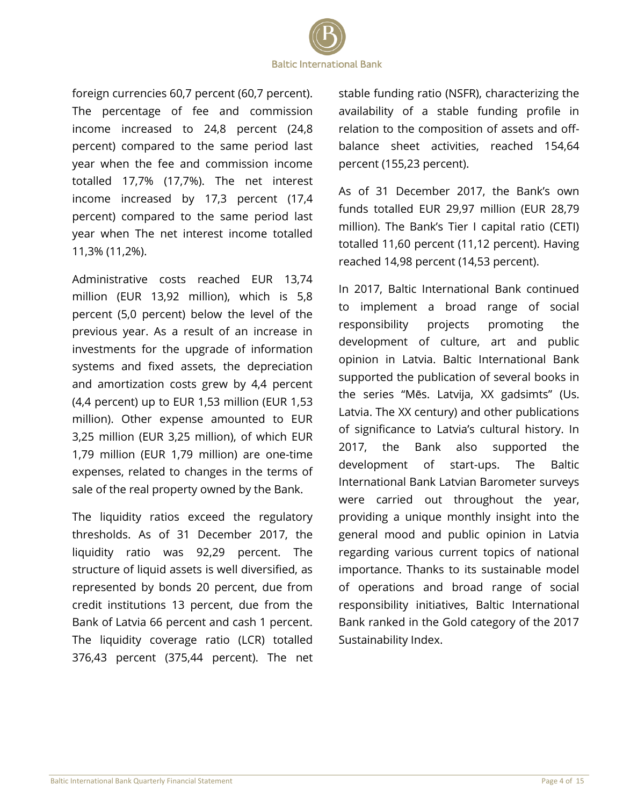

foreign currencies 60,7 percent (60,7 percent). The percentage of fee and commission income increased to 24,8 percent (24,8 percent) compared to the same period last year when the fee and commission income totalled 17,7% (17,7%). The net interest income increased by 17,3 percent (17,4 percent) compared to the same period last year when The net interest income totalled 11,3% (11,2%).

Administrative costs reached EUR 13,74 million (EUR 13,92 million), which is 5,8 percent (5,0 percent) below the level of the previous year. As a result of an increase in investments for the upgrade of information systems and fixed assets, the depreciation and amortization costs grew by 4,4 percent (4,4 percent) up to EUR 1,53 million (EUR 1,53 million). Other expense amounted to EUR 3,25 million (EUR 3,25 million), of which EUR 1,79 million (EUR 1,79 million) are one-time expenses, related to changes in the terms of sale of the real property owned by the Bank.

The liquidity ratios exceed the regulatory thresholds. As of 31 December 2017, the liquidity ratio was 92,29 percent. The structure of liquid assets is well diversified, as represented by bonds 20 percent, due from credit institutions 13 percent, due from the Bank of Latvia 66 percent and cash 1 percent. The liquidity coverage ratio (LCR) totalled 376,43 percent (375,44 percent). The net stable funding ratio (NSFR), characterizing the availability of a stable funding profile in relation to the composition of assets and offbalance sheet activities, reached 154,64 percent (155,23 percent).

As of 31 December 2017, the Bank's own funds totalled EUR 29,97 million (EUR 28,79 million). The Bank's Tier I capital ratio (CETI) totalled 11,60 percent (11,12 percent). Having reached 14,98 percent (14,53 percent).

In 2017, Baltic International Bank continued to implement a broad range of social responsibility projects promoting the development of culture, art and public opinion in Latvia. Baltic International Bank supported the publication of several books in the series "Mēs. Latvija, XX gadsimts" (Us. Latvia. The XX century) and other publications of significance to Latvia's cultural history. In 2017, the Bank also supported the development of start-ups. The Baltic International Bank Latvian Barometer surveys were carried out throughout the year, providing a unique monthly insight into the general mood and public opinion in Latvia regarding various current topics of national importance. Thanks to its sustainable model of operations and broad range of social responsibility initiatives, Baltic International Bank ranked in the Gold category of the 2017 Sustainability Index.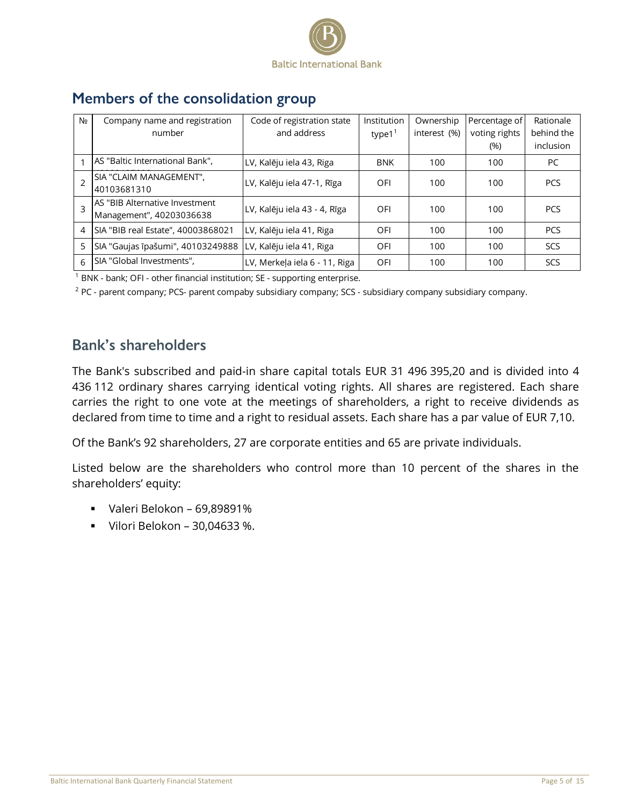

| N <sub>2</sub> | Company name and registration      | Code of registration state    | Institution           | Ownership    | Percentage of | Rationale  |
|----------------|------------------------------------|-------------------------------|-----------------------|--------------|---------------|------------|
|                | number                             | and address                   | type $1^{\mathrm{T}}$ | interest (%) | voting rights | behind the |
|                |                                    |                               |                       |              | (%)           | inclusion  |
|                | AS "Baltic International Bank",    | LV, Kalēju iela 43, Riga      | <b>BNK</b>            | 100          | 100           | <b>PC</b>  |
|                | SIA "CLAIM MANAGEMENT",            | LV, Kalēju iela 47-1, Rīga    | OFI                   | 100          | 100           | <b>PCS</b> |
|                | 40103681310                        |                               |                       |              |               |            |
| 3              | AS "BIB Alternative Investment     | LV, Kalēju iela 43 - 4, Rīga  | OFI                   | 100          | 100           | <b>PCS</b> |
|                | Management", 40203036638           |                               |                       |              |               |            |
| 4              | SIA "BIB real Estate", 40003868021 | LV, Kalēju iela 41, Riga      | OFI                   | 100          | 100           | <b>PCS</b> |
| 5              | SIA "Gaujas īpašumi", 40103249888  | LV, Kalēju iela 41, Riga      | OFI                   | 100          | 100           | SCS        |
| 6              | SIA "Global Investments",          | LV, Merkela iela 6 - 11, Riga | OFI                   | 100          | 100           | SCS        |

## <span id="page-4-0"></span>Members of the consolidation group

<sup>1</sup> BNK - bank; OFI - other financial institution; SE - supporting enterprise.

2 PC - parent company; PCS- parent compaby subsidiary company; SCS - subsidiary company subsidiary company.

### <span id="page-4-1"></span>**Bank's shareholders**

The Вank's subscribed and paid-in share capital totals EUR 31 496 395,20 and is divided into 4 436 112 ordinary shares carrying identical voting rights. All shares are registered. Each share carries the right to one vote at the meetings of shareholders, a right to receive dividends as declared from time to time and a right to residual assets. Each share has a par value of EUR 7,10.

Of the Bank's 92 shareholders, 27 are corporate entities and 65 are private individuals.

Listed below are the shareholders who control more than 10 percent of the shares in the shareholders' equity:

- Valeri Belokon 69,89891%
- Vilori Belokon 30,04633 %.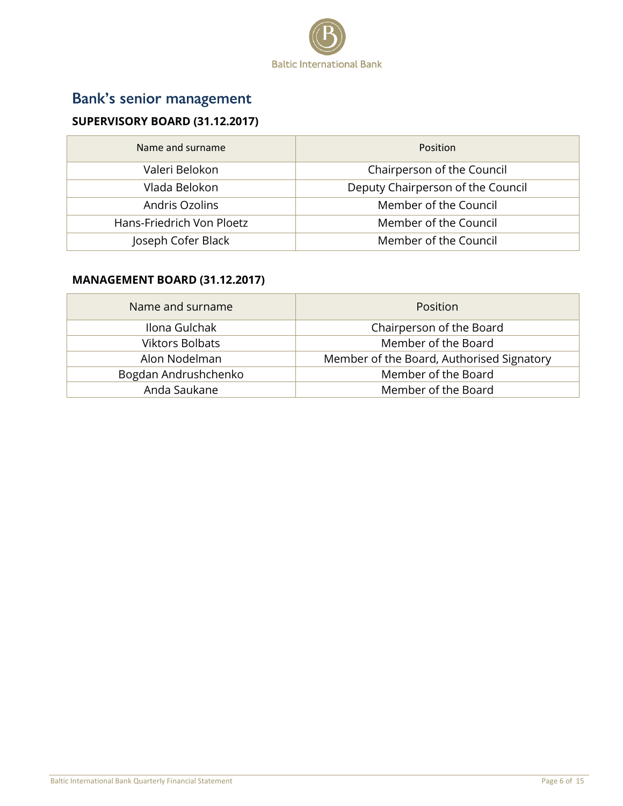

# <span id="page-5-0"></span>Bank's senior management

### **SUPERVISORY BOARD (31.12.2017)**

| Name and surname          | <b>Position</b>                   |
|---------------------------|-----------------------------------|
| Valeri Belokon            | Chairperson of the Council        |
| Vlada Belokon             | Deputy Chairperson of the Council |
| Andris Ozolins            | Member of the Council             |
| Hans-Friedrich Von Ploetz | Member of the Council             |
| Joseph Cofer Black        | Member of the Council             |

#### **MANAGEMENT BOARD (31.12.2017)**

| Name and surname       | <b>Position</b>                           |
|------------------------|-------------------------------------------|
| Ilona Gulchak          | Chairperson of the Board                  |
| <b>Viktors Bolbats</b> | Member of the Board                       |
| Alon Nodelman          | Member of the Board, Authorised Signatory |
| Bogdan Andrushchenko   | Member of the Board                       |
| Anda Saukane           | Member of the Board                       |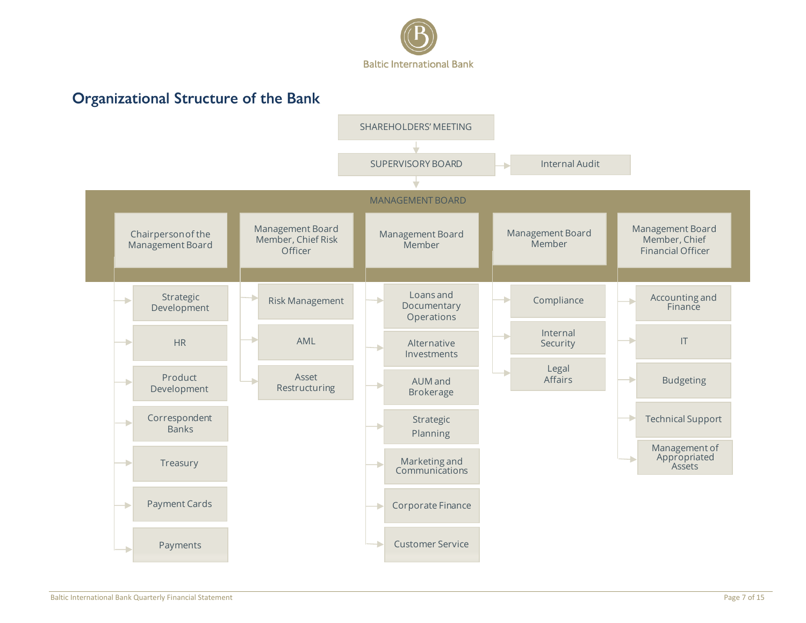

# **Organizational Structure of the Bank**

<span id="page-6-0"></span>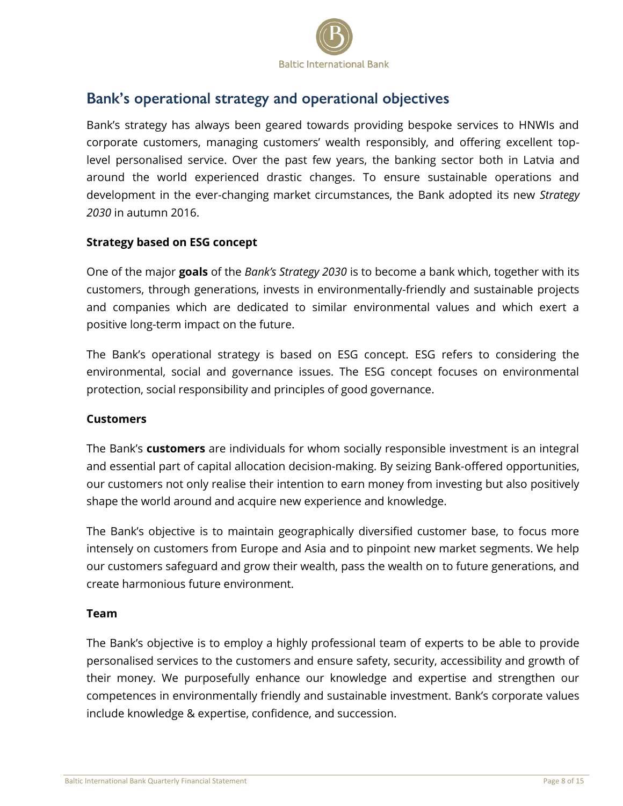

### <span id="page-7-0"></span>Bank's operational strategy and operational objectives

Bank's strategy has always been geared towards providing bespoke services to HNWIs and corporate customers, managing customers' wealth responsibly, and offering excellent toplevel personalised service. Over the past few years, the banking sector both in Latvia and around the world experienced drastic changes. To ensure sustainable operations and development in the ever-changing market circumstances, the Bank adopted its new *Strategy 2030* in autumn 2016.

#### **Strategy based on ESG concept**

One of the major **goals** of the *Bank's Strategy 2030* is to become a bank which, together with its customers, through generations, invests in environmentally-friendly and sustainable projects and companies which are dedicated to similar environmental values and which exert a positive long-term impact on the future.

The Bank's operational strategy is based on ESG concept. ESG refers to considering the environmental, social and governance issues. The ESG concept focuses on environmental protection, social responsibility and principles of good governance.

#### **Customers**

The Bank's **customers** are individuals for whom socially responsible investment is an integral and essential part of capital allocation decision-making. By seizing Bank-offered opportunities, our customers not only realise their intention to earn money from investing but also positively shape the world around and acquire new experience and knowledge.

The Bank's objective is to maintain geographically diversified customer base, to focus more intensely on customers from Europe and Asia and to pinpoint new market segments. We help our customers safeguard and grow their wealth, pass the wealth on to future generations, and create harmonious future environment.

#### **Team**

The Bank's objective is to employ a highly professional team of experts to be able to provide personalised services to the customers and ensure safety, security, accessibility and growth of their money. We purposefully enhance our knowledge and expertise and strengthen our competences in environmentally friendly and sustainable investment. Bank's corporate values include knowledge & expertise, confidence, and succession.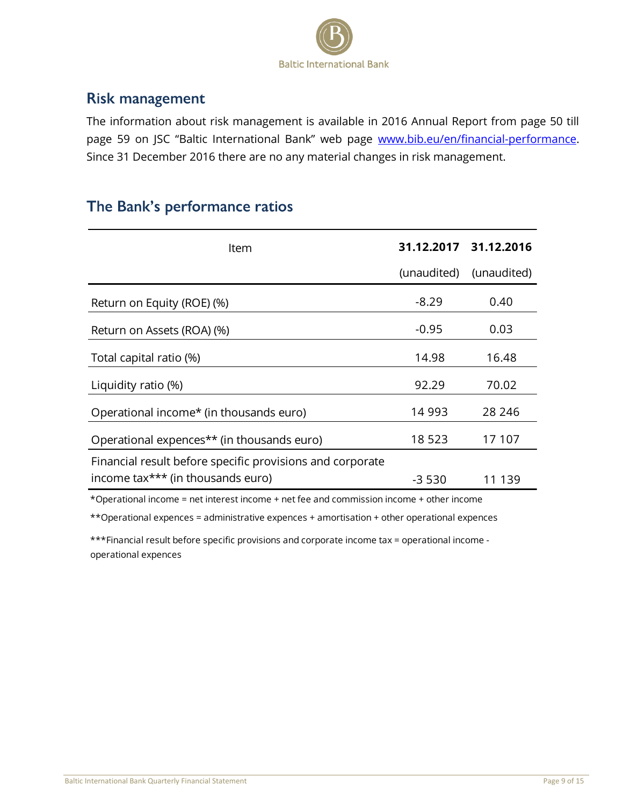

### <span id="page-8-0"></span>**Risk management**

The information about risk management is available in 2016 Annual Report from page 50 till page 59 on JSC "Baltic International Bank" web page [www.bib.eu/en/financial-performance.](http://www.bib.eu/en/financial-performance) Since 31 December 2016 there are no any material changes in risk management.

### The Bank's performance ratios

| Item                                                      |             | 31.12.2017 31.12.2016 |
|-----------------------------------------------------------|-------------|-----------------------|
|                                                           | (unaudited) | (unaudited)           |
| Return on Equity (ROE) (%)                                | $-8.29$     | 0.40                  |
| Return on Assets (ROA) (%)                                | $-0.95$     | 0.03                  |
| Total capital ratio (%)                                   | 14.98       | 16.48                 |
| Liquidity ratio (%)                                       | 92.29       | 70.02                 |
| Operational income* (in thousands euro)                   | 14 993      | 28 24 6               |
| Operational expences <sup>**</sup> (in thousands euro)    | 18 523      | 17 107                |
| Financial result before specific provisions and corporate |             |                       |
| income tax*** (in thousands euro)                         | $-3530$     | 11 139                |

\*Operational income = net interest income + net fee and commission income + other income

\*\*Operational expences = administrative expences + amortisation + other operational expences

\*\*\*Financial result before specific provisions and corporate income tax = operational income operational expences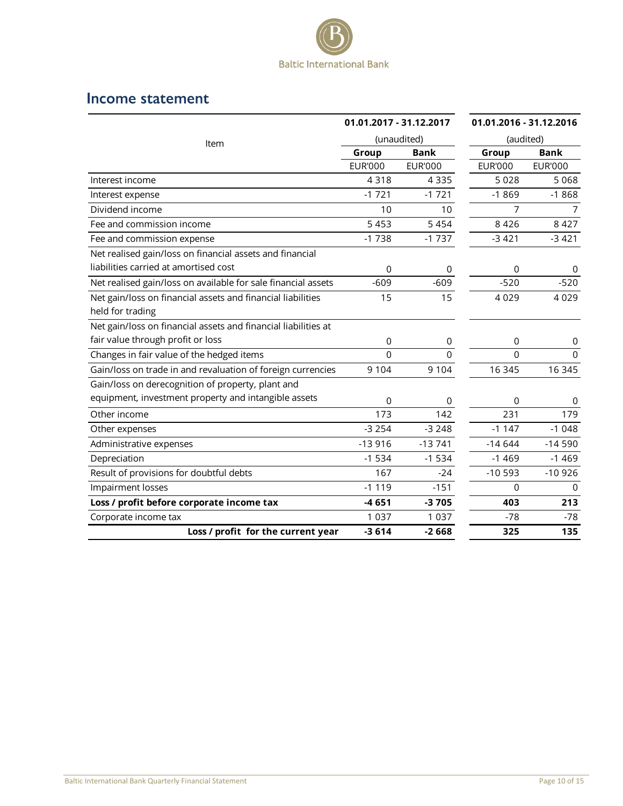

### <span id="page-9-0"></span>Income statement

|                                                                | 01.01.2017 - 31.12.2017<br>(unaudited) |                | 01.01.2016 - 31.12.2016 |                |
|----------------------------------------------------------------|----------------------------------------|----------------|-------------------------|----------------|
| Item                                                           |                                        |                | (audited)               |                |
|                                                                | Group                                  | <b>Bank</b>    | Group                   | <b>Bank</b>    |
|                                                                | <b>EUR'000</b>                         | <b>EUR'000</b> | <b>EUR'000</b>          | <b>EUR'000</b> |
| Interest income                                                | 4318                                   | 4 3 3 5        | 5 0 2 8                 | 5 0 6 8        |
| Interest expense                                               | $-1721$                                | $-1721$        | $-1869$                 | $-1868$        |
| Dividend income                                                | 10                                     | 10             | 7                       | 7              |
| Fee and commission income                                      | 5 4 5 3                                | 5 4 5 4        | 8 4 2 6                 | 8 4 2 7        |
| Fee and commission expense                                     | $-1738$                                | $-1737$        | $-3421$                 | $-3421$        |
| Net realised gain/loss on financial assets and financial       |                                        |                |                         |                |
| liabilities carried at amortised cost                          | 0                                      | 0              | 0                       |                |
| Net realised gain/loss on available for sale financial assets  | $-609$                                 | $-609$         | $-520$                  | $-520$         |
| Net gain/loss on financial assets and financial liabilities    | 15                                     | 15             | 4029                    | 4 0 2 9        |
| held for trading                                               |                                        |                |                         |                |
| Net gain/loss on financial assets and financial liabilities at |                                        |                |                         |                |
| fair value through profit or loss                              | 0                                      | 0              | $\mathbf 0$             | 0              |
| Changes in fair value of the hedged items                      | $\overline{0}$                         | $\mathbf 0$    | 0                       | $\Omega$       |
| Gain/loss on trade in and revaluation of foreign currencies    | 9 1 0 4                                | 9 1 0 4        | 16 345                  | 16 345         |
| Gain/loss on derecognition of property, plant and              |                                        |                |                         |                |
| equipment, investment property and intangible assets           | 0                                      | 0              | $\mathbf 0$             | 0              |
| Other income                                                   | 173                                    | 142            | 231                     | 179            |
| Other expenses                                                 | $-3254$                                | $-3248$        | $-1147$                 | $-1048$        |
| Administrative expenses                                        | $-13916$                               | $-13741$       | $-14644$                | $-14590$       |
| Depreciation                                                   | $-1534$                                | $-1534$        | $-1469$                 | $-1469$        |
| Result of provisions for doubtful debts                        | 167                                    | $-24$          | $-10593$                | $-10926$       |
| Impairment losses                                              | $-1119$                                | $-151$         | $\Omega$                | $\Omega$       |
| Loss / profit before corporate income tax                      | $-4651$                                | $-3705$        | 403                     | 213            |
| Corporate income tax                                           | 1 0 3 7                                | 1 0 3 7        | $-78$                   | $-78$          |
| Loss / profit for the current year                             | $-3614$                                | $-2668$        | 325                     | 135            |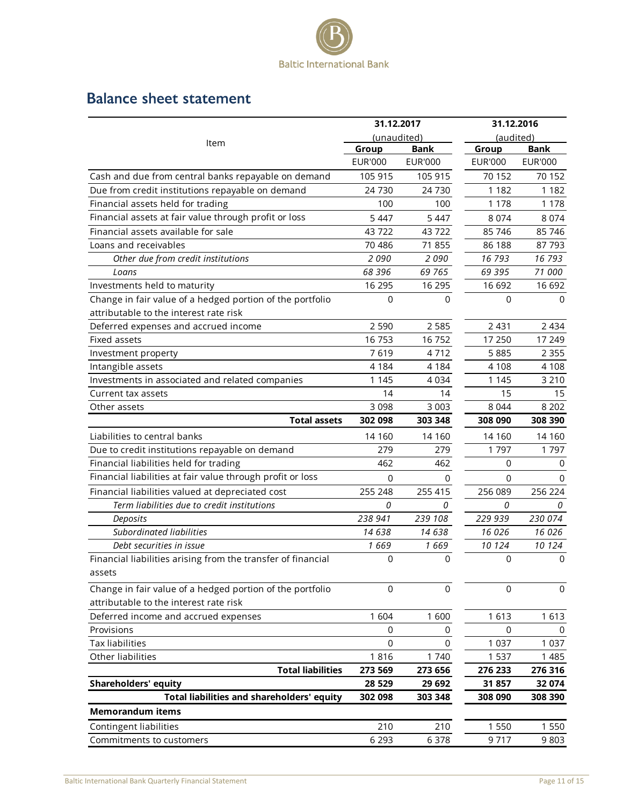

# <span id="page-10-0"></span>**Balance sheet statement**

|                                                              | 31.12.2017     |                | 31.12.2016     |                |
|--------------------------------------------------------------|----------------|----------------|----------------|----------------|
|                                                              | (unaudited)    |                | (audited)      |                |
| Item                                                         | Group          | <b>Bank</b>    | Group          | <b>Bank</b>    |
|                                                              | <b>EUR'000</b> | <b>EUR'000</b> | <b>EUR'000</b> | <b>EUR'000</b> |
| Cash and due from central banks repayable on demand          | 105 915        | 105 915        | 70 152         | 70 152         |
| Due from credit institutions repayable on demand             | 24 730         | 24 730         | 1 1 8 2        | 1 1 8 2        |
| Financial assets held for trading                            | 100            | 100            | 1 1 7 8        | 1 1 7 8        |
| Financial assets at fair value through profit or loss        | 5 4 4 7        | 5 4 4 7        | 8 0 7 4        | 8 0 7 4        |
| Financial assets available for sale                          | 43722          | 43722          | 85 746         | 85 746         |
| Loans and receivables                                        | 70 486         | 71 855         | 86 188         | 87 793         |
| Other due from credit institutions                           | 2090           | 2090           | 16 793         | 16793          |
| Loans                                                        | 68 396         | 69 7 65        | 69 395         | 71 000         |
| Investments held to maturity                                 | 16 295         | 16 295         | 16 692         | 16 692         |
| Change in fair value of a hedged portion of the portfolio    | $\mathbf 0$    | 0              | 0              | 0              |
| attributable to the interest rate risk                       |                |                |                |                |
| Deferred expenses and accrued income                         | 2 5 9 0        | 2 5 8 5        | 2 4 3 1        | 2 4 3 4        |
| Fixed assets                                                 | 16 753         | 16 752         | 17 250         | 17 249         |
| Investment property                                          | 7619           | 4712           | 5885           | 2 3 5 5        |
| Intangible assets                                            | 4 1 8 4        | 4 1 8 4        | 4 1 0 8        | 4 1 0 8        |
| Investments in associated and related companies              | 1 1 4 5        | 4 0 3 4        | 1 1 4 5        | 3 2 1 0        |
| Current tax assets                                           | 14             | 14             | 15             | 15             |
| Other assets                                                 | 3 0 9 8        | 3 0 0 3        | 8 0 4 4        | 8 2 0 2        |
| <b>Total assets</b>                                          | 302 098        | 303 348        | 308 090        | 308 390        |
| Liabilities to central banks                                 | 14 160         | 14 160         | 14 160         | 14 160         |
| Due to credit institutions repayable on demand               | 279            | 279            | 1797           | 1797           |
| Financial liabilities held for trading                       | 462            | 462            | $\mathbf 0$    | 0              |
| Financial liabilities at fair value through profit or loss   | $\mathbf 0$    | 0              | $\mathbf 0$    | $\Omega$       |
| Financial liabilities valued at depreciated cost             | 255 248        | 255 415        | 256 089        | 256 224        |
| Term liabilities due to credit institutions                  | 0              | 0              | 0              | 0              |
| Deposits                                                     | 238 941        | 239 108        | 229 939        | 230 074        |
| Subordinated liabilities                                     | 14 638         | 14 638         | 16 0 26        | 16 0 26        |
| Debt securities in issue                                     | 1 669          | 1669           | 10 124         | 10 124         |
| Financial liabilities arising from the transfer of financial | 0              | 0              | 0              | 0              |
| assets                                                       |                |                |                |                |
| Change in fair value of a hedged portion of the portfolio    | 0              | 0              | $\Omega$       | $\Omega$       |
| attributable to the interest rate risk                       |                |                |                |                |
| Deferred income and accrued expenses                         | 1604           | 1600           | 1613           | 1 6 1 3        |
| Provisions                                                   | 0              | 0              | 0              | 0              |
| <b>Tax liabilities</b>                                       | $\mathbf 0$    | 0              | 1 0 3 7        | 1 0 3 7        |
| Other liabilities                                            | 1816           | 1740           | 1 5 3 7        | 1 4 8 5        |
| <b>Total liabilities</b>                                     | 273 569        | 273 656        | 276 233        | 276 316        |
| <b>Shareholders' equity</b>                                  | 28 5 29        | 29 692         | 31857          | 32 074         |
| Total liabilities and shareholders' equity                   | 302 098        | 303 348        | 308 090        | 308 390        |
| <b>Memorandum items</b>                                      |                |                |                |                |
| Contingent liabilities                                       | 210            | 210            | 1 550          | 1 5 5 0        |
| Commitments to customers                                     | 6 2 9 3        | 6 3 7 8        | 9717           | 9 8 0 3        |
|                                                              |                |                |                |                |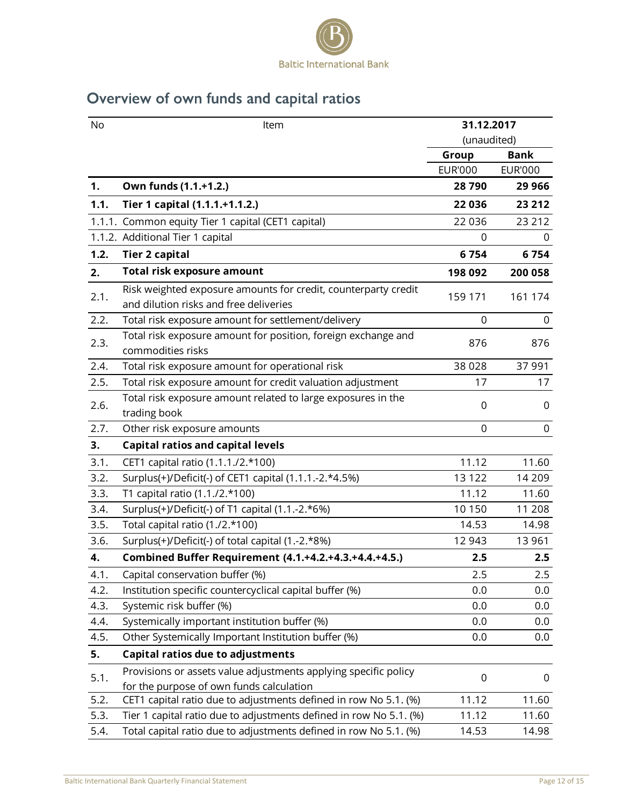

# <span id="page-11-0"></span>Overview of own funds and capital ratios

| No   | Item                                                               | 31.12.2017       |                |
|------|--------------------------------------------------------------------|------------------|----------------|
|      |                                                                    | (unaudited)      |                |
|      |                                                                    | Group            | <b>Bank</b>    |
|      |                                                                    | <b>EUR'000</b>   | <b>EUR'000</b> |
| 1.   | Own funds (1.1.+1.2.)                                              | 28790            | 29 9 66        |
| 1.1. | Tier 1 capital (1.1.1.+1.1.2.)                                     | 22 036           | 23 212         |
|      | 1.1.1. Common equity Tier 1 capital (CET1 capital)                 | 22 0 36          | 23 21 2        |
|      | 1.1.2. Additional Tier 1 capital                                   | 0                | 0              |
| 1.2. | <b>Tier 2 capital</b>                                              | 6754             | 6754           |
| 2.   | <b>Total risk exposure amount</b>                                  | 198 092          | 200 058        |
|      | Risk weighted exposure amounts for credit, counterparty credit     |                  |                |
| 2.1. | and dilution risks and free deliveries                             | 159 171          | 161 174        |
| 2.2. | Total risk exposure amount for settlement/delivery                 | 0                | 0              |
| 2.3. | Total risk exposure amount for position, foreign exchange and      | 876              | 876            |
|      | commodities risks                                                  |                  |                |
| 2.4. | Total risk exposure amount for operational risk                    | 38 0 28          | 37 991         |
| 2.5. | Total risk exposure amount for credit valuation adjustment         | 17               | 17             |
| 2.6. | Total risk exposure amount related to large exposures in the       | 0                | 0              |
|      | trading book                                                       |                  |                |
| 2.7. | Other risk exposure amounts                                        | $\mathbf 0$      | $\mathbf 0$    |
| 3.   | <b>Capital ratios and capital levels</b>                           |                  |                |
| 3.1. | CET1 capital ratio (1.1.1./2.*100)                                 | 11.12            | 11.60          |
| 3.2. | Surplus(+)/Deficit(-) of CET1 capital (1.1.1.-2.*4.5%)             | 13 1 22          | 14 209         |
| 3.3. | T1 capital ratio (1.1./2.*100)                                     | 11.12            | 11.60          |
| 3.4. | Surplus(+)/Deficit(-) of T1 capital (1.1.-2.*6%)                   | 10 150           | 11 208         |
| 3.5. | Total capital ratio (1./2.*100)                                    | 14.53            | 14.98          |
| 3.6. | Surplus(+)/Deficit(-) of total capital (1.-2.*8%)                  | 12 943           | 13 961         |
| 4.   | Combined Buffer Requirement (4.1.+4.2.+4.3.+4.4.+4.5.)             | 2.5              | 2.5            |
| 4.1. | Capital conservation buffer (%)                                    | 2.5              | 2.5            |
| 4.2. | Institution specific countercyclical capital buffer (%)            | 0.0              | 0.0            |
| 4.3. | Systemic risk buffer (%)                                           | 0.0              | 0.0            |
| 4.4. | Systemically important institution buffer (%)                      | 0.0              | 0.0            |
| 4.5. | Other Systemically Important Institution buffer (%)                | 0.0              | 0.0            |
| 5.   | Capital ratios due to adjustments                                  |                  |                |
|      | Provisions or assets value adjustments applying specific policy    |                  |                |
| 5.1. | for the purpose of own funds calculation                           | $\boldsymbol{0}$ | 0              |
| 5.2. | CET1 capital ratio due to adjustments defined in row No 5.1. (%)   | 11.12            | 11.60          |
| 5.3. | Tier 1 capital ratio due to adjustments defined in row No 5.1. (%) | 11.12            | 11.60          |
| 5.4. | Total capital ratio due to adjustments defined in row No 5.1. (%)  | 14.53            | 14.98          |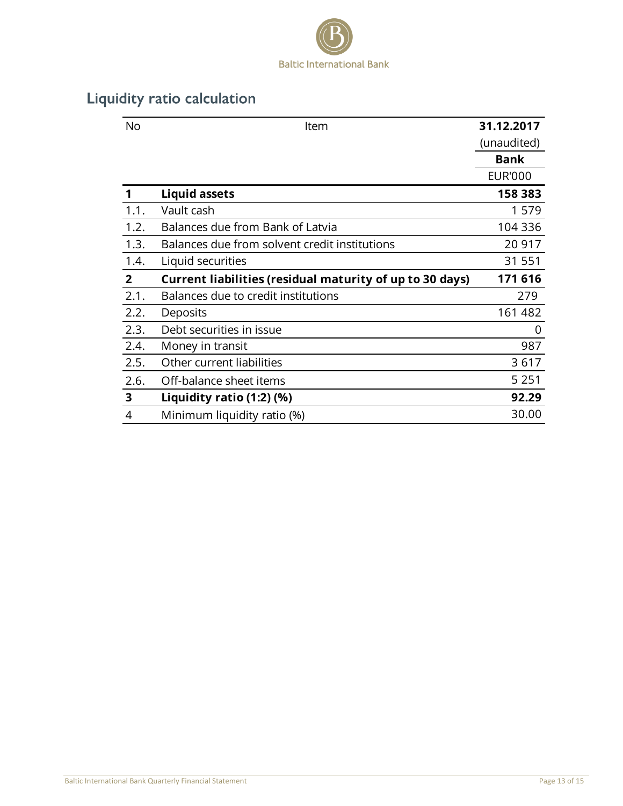

# <span id="page-12-0"></span>Liquidity ratio calculation

| <b>No</b>      | Item                                                     | 31.12.2017     |
|----------------|----------------------------------------------------------|----------------|
|                |                                                          | (unaudited)    |
|                |                                                          | <b>Bank</b>    |
|                |                                                          | <b>EUR'000</b> |
| 1              | <b>Liquid assets</b>                                     | 158 383        |
| 1.1.           | Vault cash                                               | 1579           |
| 1.2.           | Balances due from Bank of Latvia                         | 104 336        |
| 1.3.           | Balances due from solvent credit institutions            | 20 917         |
| 1.4.           | Liquid securities                                        | 31 551         |
| $\overline{2}$ | Current liabilities (residual maturity of up to 30 days) | 171 616        |
| 2.1.           | Balances due to credit institutions                      | 279            |
| 2.2.           | Deposits                                                 | 161 482        |
| 2.3.           | Debt securities in issue                                 | 0              |
| 2.4.           | Money in transit                                         | 987            |
| 2.5.           | Other current liabilities                                | 3617           |
| 2.6.           | Off-balance sheet items                                  | 5 2 5 1        |
| 3              | Liquidity ratio (1:2) (%)                                | 92.29          |
| 4              | Minimum liquidity ratio (%)                              | 30.00          |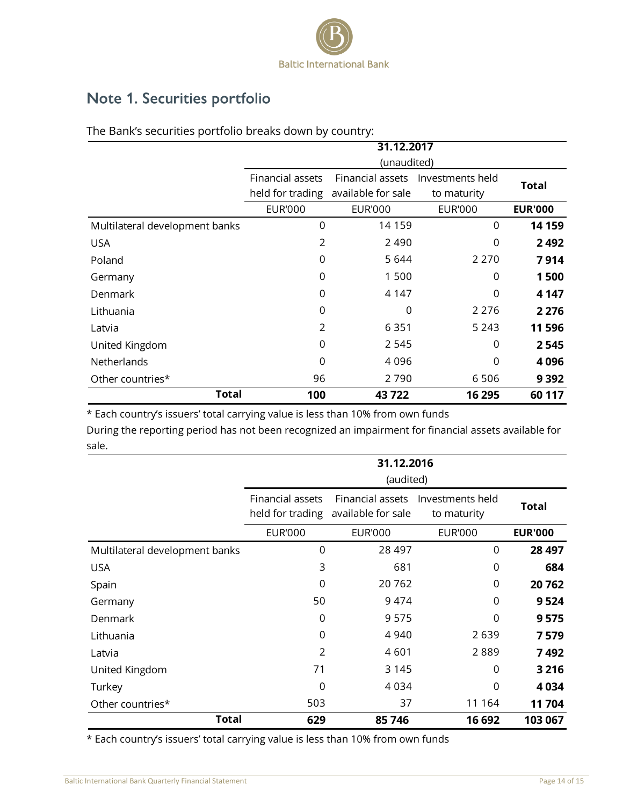

# <span id="page-13-0"></span>Note 1. Securities portfolio

|                                | 31.12.2017       |                    |                |                |  |
|--------------------------------|------------------|--------------------|----------------|----------------|--|
|                                | (unaudited)      |                    |                |                |  |
|                                | Financial assets | <b>Total</b>       |                |                |  |
|                                | held for trading | available for sale | to maturity    |                |  |
|                                | <b>EUR'000</b>   | <b>EUR'000</b>     | <b>EUR'000</b> | <b>EUR'000</b> |  |
| Multilateral development banks | 0                | 14 159             | 0              | 14 159         |  |
| <b>USA</b>                     | $\overline{2}$   | 2 4 9 0            | 0              | 2492           |  |
| Poland                         | 0                | 5 6 4 4            | 2 2 7 0        | 7914           |  |
| Germany                        | 0                | 1 500              | 0              | 1500           |  |
| Denmark                        | 0                | 4 1 4 7            | 0              | 4 1 4 7        |  |
| Lithuania                      | 0                | 0                  | 2 2 7 6        | 2 2 7 6        |  |
| Latvia                         | $\overline{2}$   | 6 3 5 1            | 5 2 4 3        | 11596          |  |
| United Kingdom                 | 0                | 2 5 4 5            | 0              | 2545           |  |
| Netherlands                    | 0                | 4096               | 0              | 4096           |  |
| Other countries*               | 96               | 2790               | 6506           | 9 3 9 2        |  |
| <b>Total</b>                   | 100              | 43722              | 16 295         | 60 117         |  |

The Bank's securities portfolio breaks down by country:

| held for trading   | available for sale |                       | <b>Total</b>                                                                                                                                                                           |
|--------------------|--------------------|-----------------------|----------------------------------------------------------------------------------------------------------------------------------------------------------------------------------------|
|                    |                    | to maturity           |                                                                                                                                                                                        |
| <b>EUR'000</b>     | <b>EUR'000</b>     | <b>EUR'000</b>        | <b>EUR'000</b>                                                                                                                                                                         |
| $\mathbf 0$        | 14 159             | 0                     | 14 159                                                                                                                                                                                 |
| $\overline{2}$     | 2 4 9 0            | 0                     | 2492                                                                                                                                                                                   |
| 0                  | 5 6 4 4            | 2 2 7 0               | 7914                                                                                                                                                                                   |
| 0                  | 1 500              | 0                     | 1500                                                                                                                                                                                   |
| 0                  | 4 1 4 7            | 0                     | 4 1 4 7                                                                                                                                                                                |
| 0                  | 0                  | 2 2 7 6               | 2 2 7 6                                                                                                                                                                                |
| 2                  | 6 3 5 1            | 5 2 4 3               | 11596                                                                                                                                                                                  |
| 0                  | 2 5 4 5            | 0                     | 2545                                                                                                                                                                                   |
| 0                  | 4 0 9 6            | 0                     | 4096                                                                                                                                                                                   |
| 96                 | 2790               | 6506                  | 9 3 9 2                                                                                                                                                                                |
| 100                | 43722              | 16 295                | 60 117                                                                                                                                                                                 |
|                    | 31.12.2016         |                       |                                                                                                                                                                                        |
|                    |                    |                       |                                                                                                                                                                                        |
|                    |                    |                       |                                                                                                                                                                                        |
|                    | (audited)          |                       |                                                                                                                                                                                        |
| Financial assets   | Financial assets   | Investments held      | <b>Total</b>                                                                                                                                                                           |
| held for trading   | available for sale | to maturity           |                                                                                                                                                                                        |
| <b>EUR'000</b>     | <b>EUR'000</b>     | <b>EUR'000</b>        | <b>EUR'000</b>                                                                                                                                                                         |
| $\mathbf 0$        | 28 497             | 0                     | 28 497                                                                                                                                                                                 |
| 3                  | 681                | 0                     | 684                                                                                                                                                                                    |
| 0                  | 20762              | 0                     | 20762                                                                                                                                                                                  |
| 50                 | 9 4 7 4            | 0                     | 9524                                                                                                                                                                                   |
| 0                  | 9575               | 0                     | 9575                                                                                                                                                                                   |
| 0                  | 4 9 4 0            | 2639                  | 7579                                                                                                                                                                                   |
| $\overline{2}$     | 4601               | 2889                  | 7492                                                                                                                                                                                   |
| 71                 | 3 1 4 5            | 0                     | 3 2 1 6                                                                                                                                                                                |
| $\mathbf 0$<br>503 | 4 0 3 4<br>37      | $\mathbf 0$<br>11 164 | 4034<br>11704                                                                                                                                                                          |
|                    |                    |                       | * Each country's issuers' total carrying value is less than 10% from own funds<br>During the reporting period has not been recognized an impairment for financial assets available for |